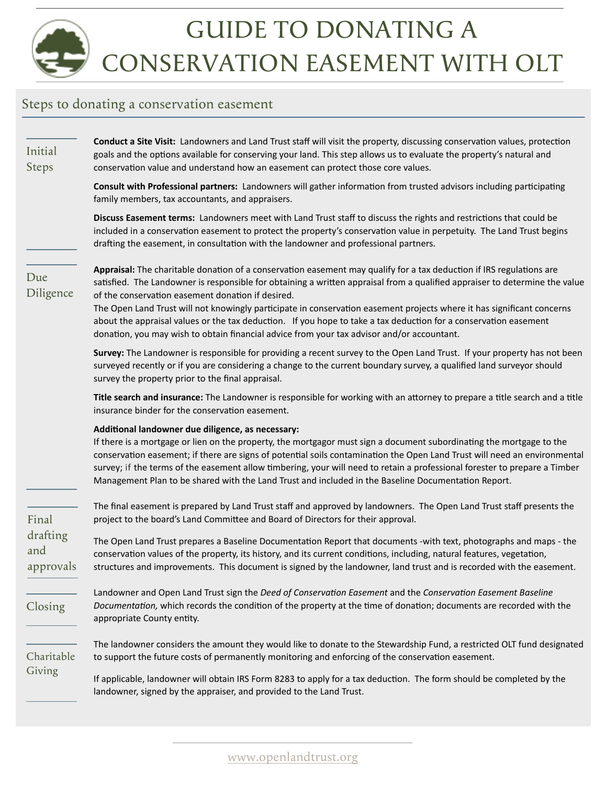## GUIDE TO DONATING A CONSERVATION EASEMENT WITH OLT

## Steps to donating a conservation easement

| Initial<br>Steps                      | Conduct a Site Visit: Landowners and Land Trust staff will visit the property, discussing conservation values, protection<br>goals and the options available for conserving your land. This step allows us to evaluate the property's natural and<br>conservation value and understand how an easement can protect those core values.                                                                                                                                                                                                                  |
|---------------------------------------|--------------------------------------------------------------------------------------------------------------------------------------------------------------------------------------------------------------------------------------------------------------------------------------------------------------------------------------------------------------------------------------------------------------------------------------------------------------------------------------------------------------------------------------------------------|
|                                       | Consult with Professional partners: Landowners will gather information from trusted advisors including participating<br>family members, tax accountants, and appraisers.                                                                                                                                                                                                                                                                                                                                                                               |
|                                       | Discuss Easement terms: Landowners meet with Land Trust staff to discuss the rights and restrictions that could be<br>included in a conservation easement to protect the property's conservation value in perpetuity. The Land Trust begins<br>drafting the easement, in consultation with the landowner and professional partners.                                                                                                                                                                                                                    |
| Due<br>Diligence                      | Appraisal: The charitable donation of a conservation easement may qualify for a tax deduction if IRS regulations are<br>satisfied. The Landowner is responsible for obtaining a written appraisal from a qualified appraiser to determine the value<br>of the conservation easement donation if desired.<br>The Open Land Trust will not knowingly participate in conservation easement projects where it has significant concerns<br>about the appraisal values or the tax deduction. If you hope to take a tax deduction for a conservation easement |
|                                       | donation, you may wish to obtain financial advice from your tax advisor and/or accountant.                                                                                                                                                                                                                                                                                                                                                                                                                                                             |
|                                       | Survey: The Landowner is responsible for providing a recent survey to the Open Land Trust. If your property has not been<br>surveyed recently or if you are considering a change to the current boundary survey, a qualified land surveyor should<br>survey the property prior to the final appraisal.                                                                                                                                                                                                                                                 |
|                                       | Title search and insurance: The Landowner is responsible for working with an attorney to prepare a title search and a title<br>insurance binder for the conservation easement.                                                                                                                                                                                                                                                                                                                                                                         |
|                                       | Additional landowner due diligence, as necessary:<br>If there is a mortgage or lien on the property, the mortgagor must sign a document subordinating the mortgage to the<br>conservation easement; if there are signs of potential soils contamination the Open Land Trust will need an environmental<br>survey; if the terms of the easement allow timbering, your will need to retain a professional forester to prepare a Timber<br>Management Plan to be shared with the Land Trust and included in the Baseline Documentation Report.            |
| Final<br>drafting<br>and<br>approvals | The final easement is prepared by Land Trust staff and approved by landowners. The Open Land Trust staff presents the<br>project to the board's Land Committee and Board of Directors for their approval.                                                                                                                                                                                                                                                                                                                                              |
|                                       | The Open Land Trust prepares a Baseline Documentation Report that documents -with text, photographs and maps - the<br>conservation values of the property, its history, and its current conditions, including, natural features, vegetation,<br>structures and improvements. This document is signed by the landowner, land trust and is recorded with the easement.                                                                                                                                                                                   |
| Closing                               | Landowner and Open Land Trust sign the Deed of Conservation Easement and the Conservation Easement Baseline<br>Documentation, which records the condition of the property at the time of donation; documents are recorded with the<br>appropriate County entity.                                                                                                                                                                                                                                                                                       |
| Charitable<br>Giving                  | The landowner considers the amount they would like to donate to the Stewardship Fund, a restricted OLT fund designated<br>to support the future costs of permanently monitoring and enforcing of the conservation easement.                                                                                                                                                                                                                                                                                                                            |
|                                       | If applicable, landowner will obtain IRS Form 8283 to apply for a tax deduction. The form should be completed by the<br>landowner, signed by the appraiser, and provided to the Land Trust.                                                                                                                                                                                                                                                                                                                                                            |